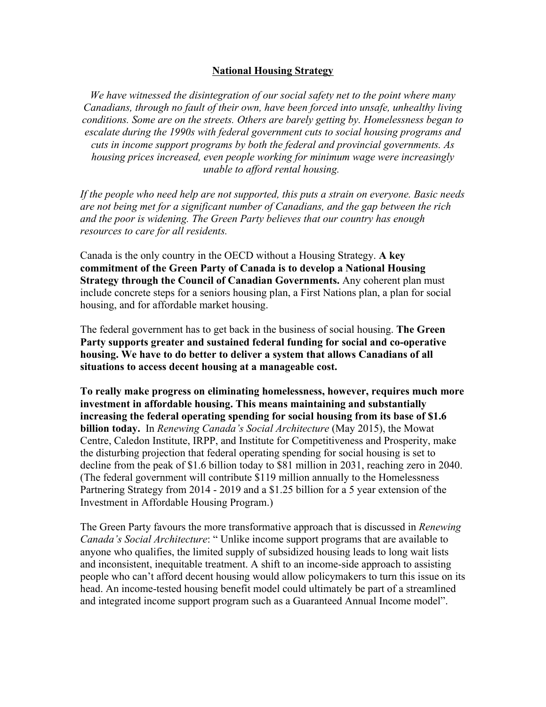#### **National Housing Strategy**

*We have witnessed the disintegration of our social safety net to the point where many Canadians, through no fault of their own, have been forced into unsafe, unhealthy living conditions. Some are on the streets. Others are barely getting by. Homelessness began to escalate during the 1990s with federal government cuts to social housing programs and cuts in income support programs by both the federal and provincial governments. As housing prices increased, even people working for minimum wage were increasingly unable to afford rental housing.*

*If the people who need help are not supported, this puts a strain on everyone. Basic needs are not being met for a significant number of Canadians, and the gap between the rich and the poor is widening. The Green Party believes that our country has enough resources to care for all residents.*

Canada is the only country in the OECD without a Housing Strategy. **A key commitment of the Green Party of Canada is to develop a National Housing Strategy through the Council of Canadian Governments.** Any coherent plan must include concrete steps for a seniors housing plan, a First Nations plan, a plan for social housing, and for affordable market housing.

The federal government has to get back in the business of social housing. **The Green Party supports greater and sustained federal funding for social and co-operative housing. We have to do better to deliver a system that allows Canadians of all situations to access decent housing at a manageable cost.**

**To really make progress on eliminating homelessness, however, requires much more investment in affordable housing. This means maintaining and substantially increasing the federal operating spending for social housing from its base of \$1.6 billion today.** In *Renewing Canada's Social Architecture* (May 2015), the Mowat Centre, Caledon Institute, IRPP, and Institute for Competitiveness and Prosperity, make the disturbing projection that federal operating spending for social housing is set to decline from the peak of \$1.6 billion today to \$81 million in 2031, reaching zero in 2040. (The federal government will contribute \$119 million annually to the Homelessness Partnering Strategy from 2014 - 2019 and a \$1.25 billion for a 5 year extension of the Investment in Affordable Housing Program.)

The Green Party favours the more transformative approach that is discussed in *Renewing Canada's Social Architecture*: " Unlike income support programs that are available to anyone who qualifies, the limited supply of subsidized housing leads to long wait lists and inconsistent, inequitable treatment. A shift to an income-side approach to assisting people who can't afford decent housing would allow policymakers to turn this issue on its head. An income-tested housing benefit model could ultimately be part of a streamlined and integrated income support program such as a Guaranteed Annual Income model".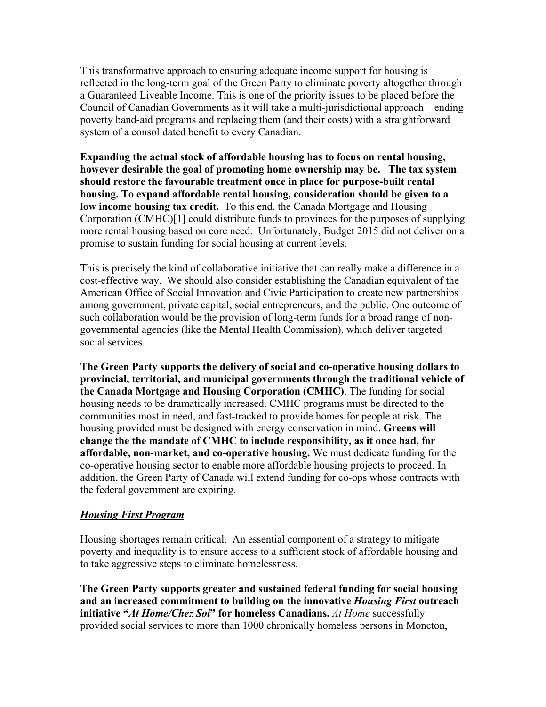This transformative approach to ensuring adequate income support for housing is reflected in the long-term goal of the Green Party to eliminate poverty altogether through a Guaranteed Liveable Income. This is one of the priority issues to be placed before the Council of Canadian Governments as it will take a multi-jurisdictional approach – ending poverty band-aid programs and replacing them (and their costs) with a straightforward system of a consolidated benefit to every Canadian.

**Expanding the actual stock of affordable housing has to focus on rental housing, however desirable the goal of promoting home ownership may be. The tax system should restore the favourable treatment once in place for purpose-built rental housing. To expand affordable rental housing, consideration should be given to a low income housing tax credit.** To this end, the Canada Mortgage and Housing Corporation (CMHC)[1] could distribute funds to provinces for the purposes of supplying more rental housing based on core need. Unfortunately, Budget 2015 did not deliver on a promise to sustain funding for social housing at current levels.

This is precisely the kind of collaborative initiative that can really make a difference in a cost-effective way. We should also consider establishing the Canadian equivalent of the American Office of Social Innovation and Civic Participation to create new partnerships among government, private capital, social entrepreneurs, and the public. One outcome of such collaboration would be the provision of long-term funds for a broad range of nongovernmental agencies (like the Mental Health Commission), which deliver targeted social services.

**The Green Party supports the delivery of social and co-operative housing dollars to provincial, territorial, and municipal governments through the traditional vehicle of the Canada Mortgage and Housing Corporation (CMHC)**. The funding for social housing needs to be dramatically increased. CMHC programs must be directed to the communities most in need, and fast-tracked to provide homes for people at risk. The housing provided must be designed with energy conservation in mind. **Greens will change the the mandate of CMHC to include responsibility, as it once had, for affordable, non-market, and co-operative housing.** We must dedicate funding for the co-operative housing sector to enable more affordable housing projects to proceed. In addition, the Green Party of Canada will extend funding for co-ops whose contracts with the federal government are expiring.

# *Housing First Program*

Housing shortages remain critical. An essential component of a strategy to mitigate poverty and inequality is to ensure access to a sufficient stock of affordable housing and to take aggressive steps to eliminate homelessness.

**The Green Party supports greater and sustained federal funding for social housing and an increased commitment to building on the innovative** *Housing First* **outreach initiative "***At Home/Chez Soi***" for homeless Canadians.** *At Home* successfully provided social services to more than 1000 chronically homeless persons in Moncton,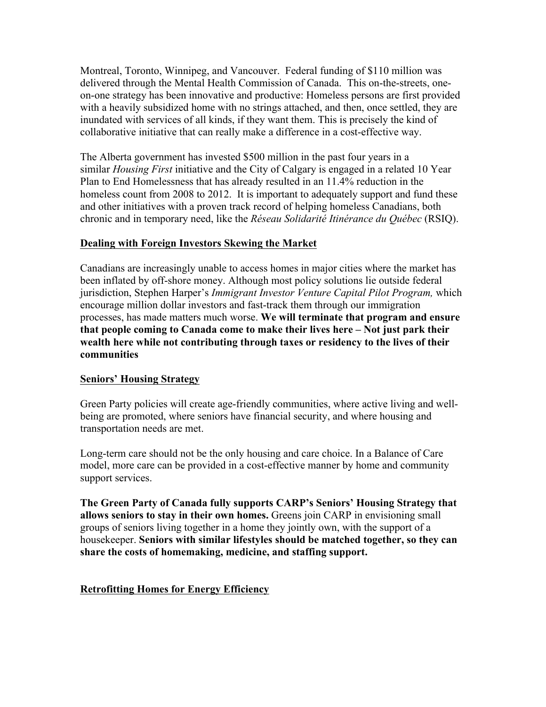Montreal, Toronto, Winnipeg, and Vancouver. Federal funding of \$110 million was delivered through the Mental Health Commission of Canada. This on-the-streets, oneon-one strategy has been innovative and productive: Homeless persons are first provided with a heavily subsidized home with no strings attached, and then, once settled, they are inundated with services of all kinds, if they want them. This is precisely the kind of collaborative initiative that can really make a difference in a cost-effective way.

The Alberta government has invested \$500 million in the past four years in a similar *Housing First* initiative and the City of Calgary is engaged in a related 10 Year Plan to End Homelessness that has already resulted in an 11.4% reduction in the homeless count from 2008 to 2012. It is important to adequately support and fund these and other initiatives with a proven track record of helping homeless Canadians, both chronic and in temporary need, like the *Réseau Solidarité Itinérance du Québec* (RSIQ).

#### **Dealing with Foreign Investors Skewing the Market**

Canadians are increasingly unable to access homes in major cities where the market has been inflated by off-shore money. Although most policy solutions lie outside federal jurisdiction, Stephen Harper's *Immigrant Investor Venture Capital Pilot Program,* which encourage million dollar investors and fast-track them through our immigration processes, has made matters much worse. **We will terminate that program and ensure that people coming to Canada come to make their lives here – Not just park their wealth here while not contributing through taxes or residency to the lives of their communities**

# **Seniors' Housing Strategy**

Green Party policies will create age-friendly communities, where active living and wellbeing are promoted, where seniors have financial security, and where housing and transportation needs are met.

Long-term care should not be the only housing and care choice. In a Balance of Care model, more care can be provided in a cost-effective manner by home and community support services.

**The Green Party of Canada fully supports CARP's Seniors' Housing Strategy that allows seniors to stay in their own homes.** Greens join CARP in envisioning small groups of seniors living together in a home they jointly own, with the support of a housekeeper. **Seniors with similar lifestyles should be matched together, so they can share the costs of homemaking, medicine, and staffing support.**

# **Retrofitting Homes for Energy Efficiency**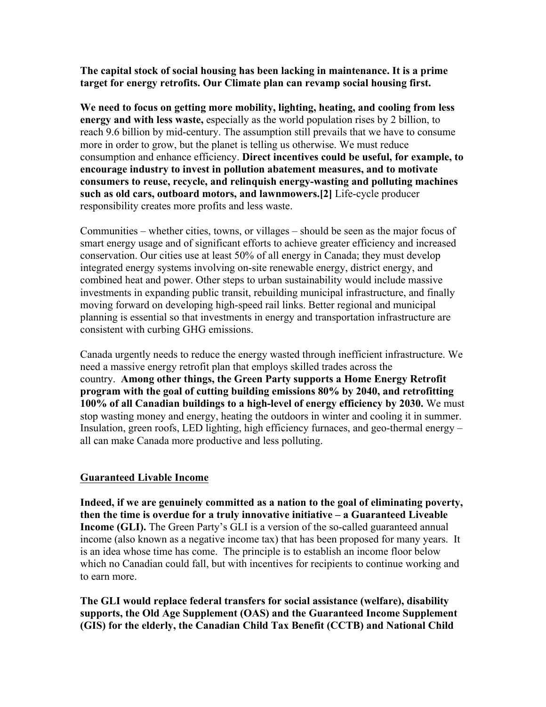**The capital stock of social housing has been lacking in maintenance. It is a prime target for energy retrofits. Our Climate plan can revamp social housing first.**

**We need to focus on getting more mobility, lighting, heating, and cooling from less energy and with less waste,** especially as the world population rises by 2 billion, to reach 9.6 billion by mid-century. The assumption still prevails that we have to consume more in order to grow, but the planet is telling us otherwise. We must reduce consumption and enhance efficiency. **Direct incentives could be useful, for example, to encourage industry to invest in pollution abatement measures, and to motivate consumers to reuse, recycle, and relinquish energy-wasting and polluting machines such as old cars, outboard motors, and lawnmowers.[2]** Life-cycle producer responsibility creates more profits and less waste.

Communities – whether cities, towns, or villages – should be seen as the major focus of smart energy usage and of significant efforts to achieve greater efficiency and increased conservation. Our cities use at least 50% of all energy in Canada; they must develop integrated energy systems involving on-site renewable energy, district energy, and combined heat and power. Other steps to urban sustainability would include massive investments in expanding public transit, rebuilding municipal infrastructure, and finally moving forward on developing high-speed rail links. Better regional and municipal planning is essential so that investments in energy and transportation infrastructure are consistent with curbing GHG emissions.

Canada urgently needs to reduce the energy wasted through inefficient infrastructure. We need a massive energy retrofit plan that employs skilled trades across the country. **Among other things, the Green Party supports a Home Energy Retrofit program with the goal of cutting building emissions 80% by 2040, and retrofitting 100% of all Canadian buildings to a high-level of energy efficiency by 2030.** We must stop wasting money and energy, heating the outdoors in winter and cooling it in summer. Insulation, green roofs, LED lighting, high efficiency furnaces, and geo-thermal energy – all can make Canada more productive and less polluting.

#### **Guaranteed Livable Income**

**Indeed, if we are genuinely committed as a nation to the goal of eliminating poverty, then the time is overdue for a truly innovative initiative – a Guaranteed Liveable Income (GLI).** The Green Party's GLI is a version of the so-called guaranteed annual income (also known as a negative income tax) that has been proposed for many years. It is an idea whose time has come. The principle is to establish an income floor below which no Canadian could fall, but with incentives for recipients to continue working and to earn more.

**The GLI would replace federal transfers for social assistance (welfare), disability supports, the Old Age Supplement (OAS) and the Guaranteed Income Supplement (GIS) for the elderly, the Canadian Child Tax Benefit (CCTB) and National Child**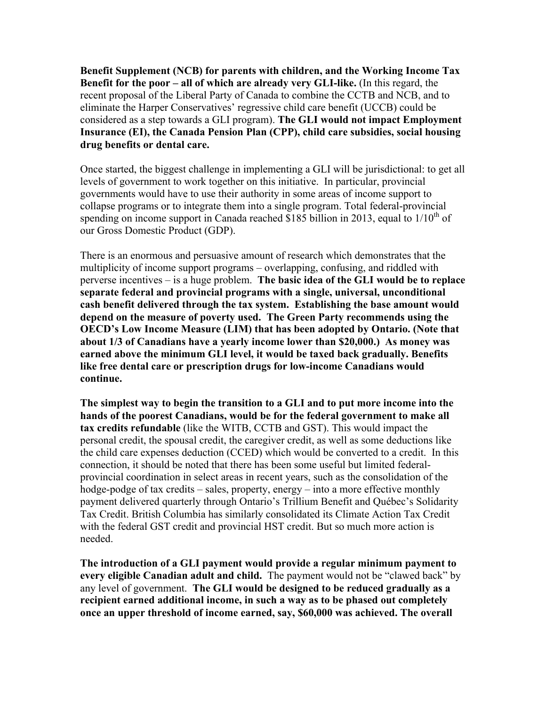**Benefit Supplement (NCB) for parents with children, and the Working Income Tax Benefit for the poor – all of which are already very GLI-like.** (In this regard, the recent proposal of the Liberal Party of Canada to combine the CCTB and NCB, and to eliminate the Harper Conservatives' regressive child care benefit (UCCB) could be considered as a step towards a GLI program). **The GLI would not impact Employment Insurance (EI), the Canada Pension Plan (CPP), child care subsidies, social housing drug benefits or dental care.**

Once started, the biggest challenge in implementing a GLI will be jurisdictional: to get all levels of government to work together on this initiative. In particular, provincial governments would have to use their authority in some areas of income support to collapse programs or to integrate them into a single program. Total federal-provincial spending on income support in Canada reached \$185 billion in 2013, equal to  $1/10^{th}$  of our Gross Domestic Product (GDP).

There is an enormous and persuasive amount of research which demonstrates that the multiplicity of income support programs – overlapping, confusing, and riddled with perverse incentives – is a huge problem. **The basic idea of the GLI would be to replace separate federal and provincial programs with a single, universal, unconditional cash benefit delivered through the tax system. Establishing the base amount would depend on the measure of poverty used. The Green Party recommends using the OECD's Low Income Measure (LIM) that has been adopted by Ontario. (Note that about 1/3 of Canadians have a yearly income lower than \$20,000.) As money was earned above the minimum GLI level, it would be taxed back gradually. Benefits like free dental care or prescription drugs for low-income Canadians would continue.**

**The simplest way to begin the transition to a GLI and to put more income into the hands of the poorest Canadians, would be for the federal government to make all tax credits refundable** (like the WITB, CCTB and GST). This would impact the personal credit, the spousal credit, the caregiver credit, as well as some deductions like the child care expenses deduction (CCED) which would be converted to a credit. In this connection, it should be noted that there has been some useful but limited federalprovincial coordination in select areas in recent years, such as the consolidation of the hodge-podge of tax credits – sales, property, energy – into a more effective monthly payment delivered quarterly through Ontario's Trillium Benefit and Québec's Solidarity Tax Credit. British Columbia has similarly consolidated its Climate Action Tax Credit with the federal GST credit and provincial HST credit. But so much more action is needed.

**The introduction of a GLI payment would provide a regular minimum payment to every eligible Canadian adult and child.** The payment would not be "clawed back" by any level of government. **The GLI would be designed to be reduced gradually as a recipient earned additional income, in such a way as to be phased out completely once an upper threshold of income earned, say, \$60,000 was achieved. The overall**